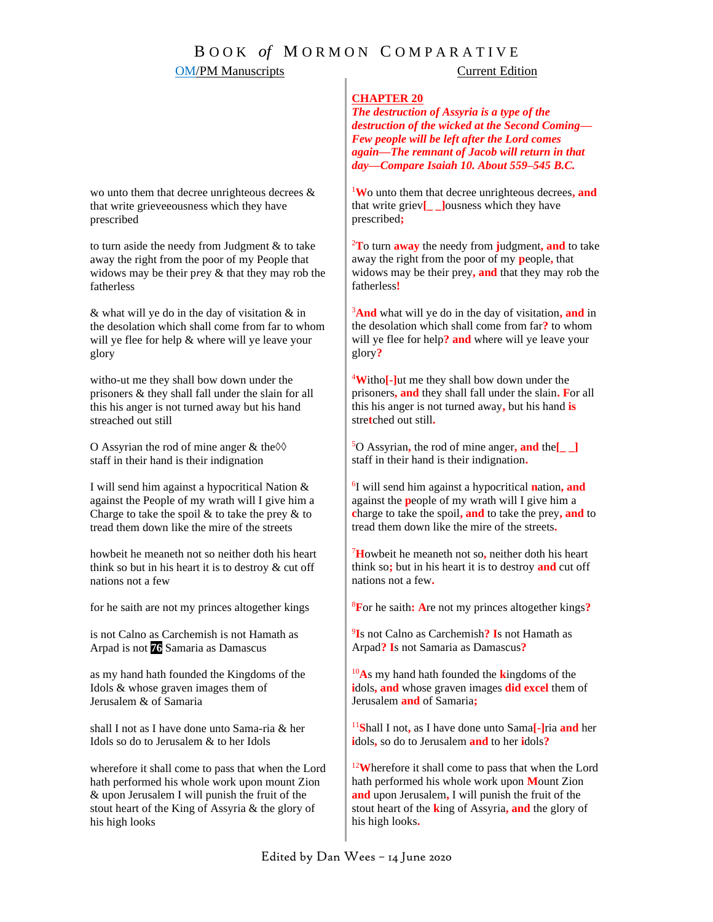# B O O K *of* M O R M O N C O M P A R A T I V E

### OM/PM Manuscripts Current Edition

### **CHAPTER 20**

*The destruction of Assyria is a type of the destruction of the wicked at the Second Coming— Few people will be left after the Lord comes again—The remnant of Jacob will return in that day—Compare Isaiah 10. About 559–545 B.C.*

<sup>1</sup>**W**o unto them that decree unrighteous decrees**, and** that write griev**[\_ \_]**ousness which they have prescribed**;**

<sup>2</sup>**T**o turn **away** the needy from **j**udgment**, and** to take away the right from the poor of my **p**eople**,** that widows may be their prey**, and** that they may rob the fatherless**!**

<sup>3</sup>**And** what will ye do in the day of visitation**, and** in the desolation which shall come from far**?** to whom will ye flee for help**? and** where will ye leave your glory**?**

<sup>4</sup>**W**itho**[-]**ut me they shall bow down under the prisoners**, and** they shall fall under the slain**. F**or all this his anger is not turned away**,** but his hand **is** stre**t**ched out still**.**

<sup>5</sup>O Assyrian**,** the rod of mine anger**, and** the**[\_ \_]** staff in their hand is their indignation**.**

6 I will send him against a hypocritical **n**ation**, and**  against the **p**eople of my wrath will I give him a **c**harge to take the spoil**, and** to take the prey**, and** to tread them down like the mire of the streets**.**

<sup>7</sup>**H**owbeit he meaneth not so**,** neither doth his heart think so**;** but in his heart it is to destroy **and** cut off nations not a few**.**

<sup>8</sup>**F**or he saith**: A**re not my princes altogether kings**?**

9 **I**s not Calno as Carchemish**? I**s not Hamath as Arpad**? I**s not Samaria as Damascus**?**

<sup>10</sup>**A**s my hand hath founded the **k**ingdoms of the **i**dols**, and** whose graven images **did excel** them of Jerusalem **and** of Samaria**;**

<sup>11</sup>**S**hall I not**,** as I have done unto Sama**[-]**ria **and** her **i**dols**,** so do to Jerusalem **and** to her **i**dols**?**

<sup>12</sup>Wherefore it shall come to pass that when the Lord hath performed his whole work upon **M**ount Zion **and** upon Jerusalem**,** I will punish the fruit of the stout heart of the **k**ing of Assyria**, and** the glory of his high looks**.** 

wo unto them that decree unrighteous decrees & that write grieveeousness which they have prescribed

to turn aside the needy from Judgment & to take away the right from the poor of my People that widows may be their p*r*ey & that they may rob the fatherless

& what will ye do in the day of visitation & in the desolation which shall come from far to whom will ye flee for help & where will ye leave your glory

witho-ut me they shall bow down under the prisoners & they shall fall under the slain for all this his anger is not turned away but his hand streached out still

O Assyrian the rod of mine anger & the◊◊ staff in their hand is their indignation

I will send him against a hypocritical Nation & against the People of my wrath will I give him a Charge to take the spoil  $\&$  to take the prey  $\&$  to tread them down like the mire of the streets

howbeit he meaneth not so neither doth his heart think so but in his heart it is to destroy & cut off nations not a few

for he saith are not my princes altogether kings

is not Calno as Carchemish is not Hamath as Arpad is not **76** Samaria as Damascus

as my hand hath founded the Kingdoms of the Idols & whose graven images them of Jerusalem & of Samaria

shall I not as I have done unto Sama-ria & her Idols so do to Jerusalem & to her Idols

wherefore it shall come to pass that when the Lord hath performed his whole work upon mount Zion & upon Jerusalem I will punish the fruit of the stout heart of the King of Assyria & the glory of his high looks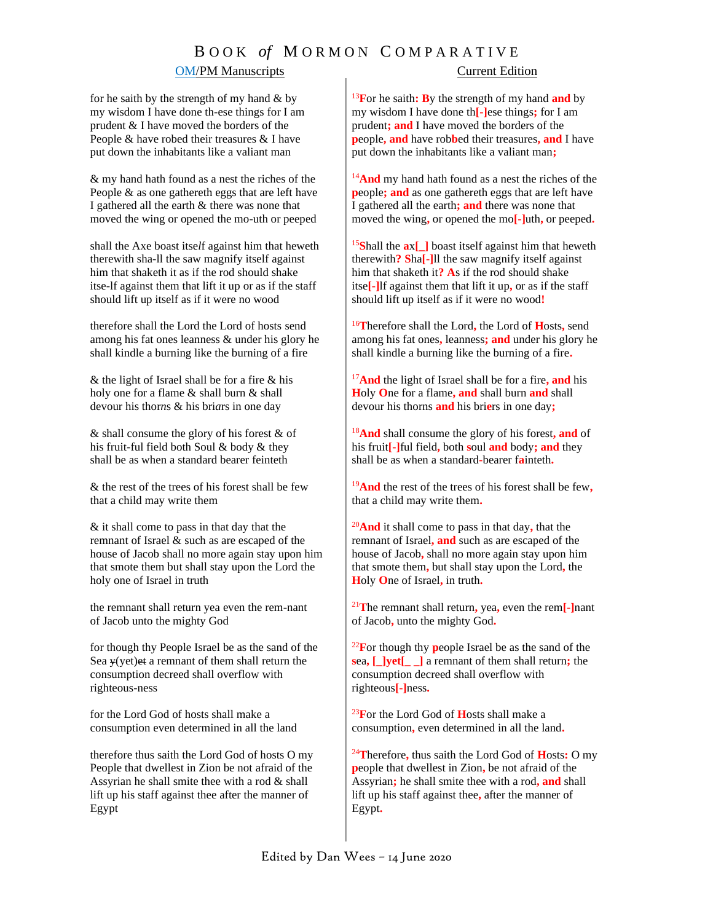# B O O K *of* M O R M O N C O M P A R A T I V E

### OM/PM Manuscripts Current Edition

for he saith by the strength of my hand  $&$  by my wisdom I have done th-ese things for I am prudent & I have moved the borders of the People & have robed their treasures & I have put down the inhabitants like a valiant man

& my hand hath found as a nest the riches of the People & as one gathereth eggs that are left have I gathered all the earth & there was none that moved the wing or opened the mo-uth or peeped

shall the Axe boast itse*l*f against him that heweth therewith sha-ll the saw magnify itself against him that shaketh it as if the rod should shake itse-lf against them that lift it up or as if the staff should lift up itself as if it were no wood

therefore shall the Lord the Lord of hosts send among his fat ones leanness & under his glory he shall kindle a burning like the burning of a fire

& the light of Israel shall be for a fire & his holy one for a flame & shall burn & shall devour his thor*n*s & his bri*a*rs in one day

& shall consume the glory of his forest & of his fruit-ful field both Soul & body & they shall be as when a standard bearer feinteth

& the rest of the trees of his forest shall be few that a child may write them

& it shall come to pass in that day that the remnant of Israel & such as are escaped of the house of Jacob shall no more again stay upon him that smote them but shall stay upon the Lord the holy one of Israel in truth

the remnant shall return yea even the rem-nant of Jacob unto the mighty God

for though thy People Israel be as the sand of the Sea  $\psi$ (yet)et a remnant of them shall return the consumption decreed shall overflow with righteous-ness

for the Lord God of hosts shall make a consumption even determined in all the land

therefore thus saith the Lord God of hosts O my People that dwellest in Zion be not afraid of the Assyrian he shall smite thee with a rod & shall lift up his staff against thee after the manner of Egypt

<sup>13</sup>**F**or he saith**: B**y the strength of my hand **and** by my wisdom I have done th**[-]**ese things**;** for I am prudent**; and** I have moved the borders of the **p**eople**, and** have rob**b**ed their treasures**, and** I have put down the inhabitants like a valiant man**;** 

<sup>14</sup>And my hand hath found as a nest the riches of the **p**eople**; and** as one gathereth eggs that are left have I gathered all the earth**; and** there was none that moved the wing**,** or opened the mo**[-]**uth**,** or peeped**.**

<sup>15</sup>**S**hall the **a**x**[\_]** boast itself against him that heweth therewith**? S**ha**[-]**ll the saw magnify itself against him that shaketh it**? A**s if the rod should shake itse**[-]**lf against them that lift it up**,** or as if the staff should lift up itself as if it were no wood**!**

<sup>16</sup>**T**herefore shall the Lord**,** the Lord of **H**osts**,** send among his fat ones**,** leanness**; and** under his glory he shall kindle a burning like the burning of a fire**.**

<sup>17</sup>**And** the light of Israel shall be for a fire**, and** his **H**oly **O**ne for a flame**, and** shall burn **and** shall devour his thorns **and** his bri**e**rs in one day**;**

<sup>18</sup>**And** shall consume the glory of his forest**, and** of his fruit**[-]**ful field**,** both **s**oul **and** body**; and** they shall be as when a standard**-**bearer f**a**inteth**.**

<sup>19</sup>**And** the rest of the trees of his forest shall be few**,**  that a child may write them**.** 

<sup>20</sup>**And** it shall come to pass in that day**,** that the remnant of Israel**, and** such as are escaped of the house of Jacob**,** shall no more again stay upon him that smote them**,** but shall stay upon the Lord**,** the **H**oly **O**ne of Israel**,** in truth**.**

<sup>21</sup>**T**he remnant shall return**,** yea**,** even the rem**[-]**nant of Jacob**,** unto the mighty God**.**

<sup>22</sup>**F**or though thy **p**eople Israel be as the sand of the **s**ea**, [\_]yet[\_ \_]** a remnant of them shall return**;** the consumption decreed shall overflow with righteous**[-]**ness**.**

<sup>23</sup>**F**or the Lord God of **H**osts shall make a consumption**,** even determined in all the land**.**

<sup>24</sup>**T**herefore**,** thus saith the Lord God of **H**osts**:** O my **p**eople that dwellest in Zion**,** be not afraid of the Assyrian**;** he shall smite thee with a rod**, and** shall lift up his staff against thee**,** after the manner of Egypt**.**